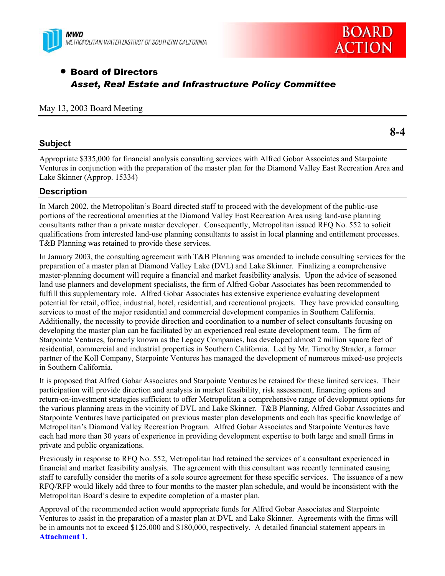



# **• Board of Directors** *Asset, Real Estate and Infrastructure Policy Committee*

#### May 13, 2003 Board Meeting

## **Subject**

**8-4** 

Appropriate \$335,000 for financial analysis consulting services with Alfred Gobar Associates and Starpointe Ventures in conjunction with the preparation of the master plan for the Diamond Valley East Recreation Area and Lake Skinner (Approp. 15334)

## **Description**

In March 2002, the Metropolitan's Board directed staff to proceed with the development of the public-use portions of the recreational amenities at the Diamond Valley East Recreation Area using land-use planning consultants rather than a private master developer. Consequently, Metropolitan issued RFQ No. 552 to solicit qualifications from interested land-use planning consultants to assist in local planning and entitlement processes. T&B Planning was retained to provide these services.

In January 2003, the consulting agreement with T&B Planning was amended to include consulting services for the preparation of a master plan at Diamond Valley Lake (DVL) and Lake Skinner. Finalizing a comprehensive master-planning document will require a financial and market feasibility analysis. Upon the advice of seasoned land use planners and development specialists, the firm of Alfred Gobar Associates has been recommended to fulfill this supplementary role. Alfred Gobar Associates has extensive experience evaluating development potential for retail, office, industrial, hotel, residential, and recreational projects. They have provided consulting services to most of the major residential and commercial development companies in Southern California. Additionally, the necessity to provide direction and coordination to a number of select consultants focusing on developing the master plan can be facilitated by an experienced real estate development team. The firm of Starpointe Ventures, formerly known as the Legacy Companies, has developed almost 2 million square feet of residential, commercial and industrial properties in Southern California. Led by Mr. Timothy Strader, a former partner of the Koll Company, Starpointe Ventures has managed the development of numerous mixed-use projects in Southern California.

It is proposed that Alfred Gobar Associates and Starpointe Ventures be retained for these limited services. Their participation will provide direction and analysis in market feasibility, risk assessment, financing options and return-on-investment strategies sufficient to offer Metropolitan a comprehensive range of development options for the various planning areas in the vicinity of DVL and Lake Skinner. T&B Planning, Alfred Gobar Associates and Starpointe Ventures have participated on previous master plan developments and each has specific knowledge of Metropolitan's Diamond Valley Recreation Program. Alfred Gobar Associates and Starpointe Ventures have each had more than 30 years of experience in providing development expertise to both large and small firms in private and public organizations.

Previously in response to RFQ No. 552, Metropolitan had retained the services of a consultant experienced in financial and market feasibility analysis. The agreement with this consultant was recently terminated causing staff to carefully consider the merits of a sole source agreement for these specific services. The issuance of a new RFQ/RFP would likely add three to four months to the master plan schedule, and would be inconsistent with the Metropolitan Board's desire to expedite completion of a master plan.

Approval of the recommended action would appropriate funds for Alfred Gobar Associates and Starpointe Ventures to assist in the preparation of a master plan at DVL and Lake Skinner. Agreements with the firms will be in amounts not to exceed \$125,000 and \$180,000, respectively. A detailed financial statement appears in **Attachment 1**.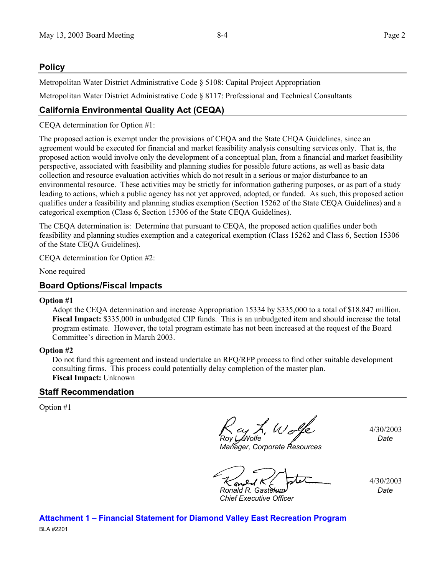# **Policy**

Metropolitan Water District Administrative Code § 5108: Capital Project Appropriation

Metropolitan Water District Administrative Code § 8117: Professional and Technical Consultants

# **California Environmental Quality Act (CEQA)**

CEQA determination for Option #1:

The proposed action is exempt under the provisions of CEQA and the State CEQA Guidelines, since an agreement would be executed for financial and market feasibility analysis consulting services only. That is, the proposed action would involve only the development of a conceptual plan, from a financial and market feasibility perspective, associated with feasibility and planning studies for possible future actions, as well as basic data collection and resource evaluation activities which do not result in a serious or major disturbance to an environmental resource. These activities may be strictly for information gathering purposes, or as part of a study leading to actions, which a public agency has not yet approved, adopted, or funded. As such, this proposed action qualifies under a feasibility and planning studies exemption (Section 15262 of the State CEQA Guidelines) and a categorical exemption (Class 6, Section 15306 of the State CEQA Guidelines).

The CEQA determination is: Determine that pursuant to CEQA, the proposed action qualifies under both feasibility and planning studies exemption and a categorical exemption (Class 15262 and Class 6, Section 15306 of the State CEQA Guidelines).

CEQA determination for Option #2:

None required

## **Board Options/Fiscal Impacts**

#### **Option #1**

Adopt the CEQA determination and increase Appropriation 15334 by \$335,000 to a total of \$18.847 million. **Fiscal Impact:** \$335,000 in unbudgeted CIP funds. This is an unbudgeted item and should increase the total program estimate. However, the total program estimate has not been increased at the request of the Board Committee's direction in March 2003.

#### **Option #2**

Do not fund this agreement and instead undertake an RFQ/RFP process to find other suitable development consulting firms. This process could potentially delay completion of the master plan. **Fiscal Impact:** Unknown

## **Staff Recommendation**

Option #1

*Roy L. Wolfe* 

4/30/2003 *Date*

*Manager, Corporate Resources* 

4/30/2003 *Date*

*Ronald R. Gastelum Chief Executive Officer* 

**Attachment 1 – Financial Statement for Diamond Valley East Recreation Program**  BLA #2201